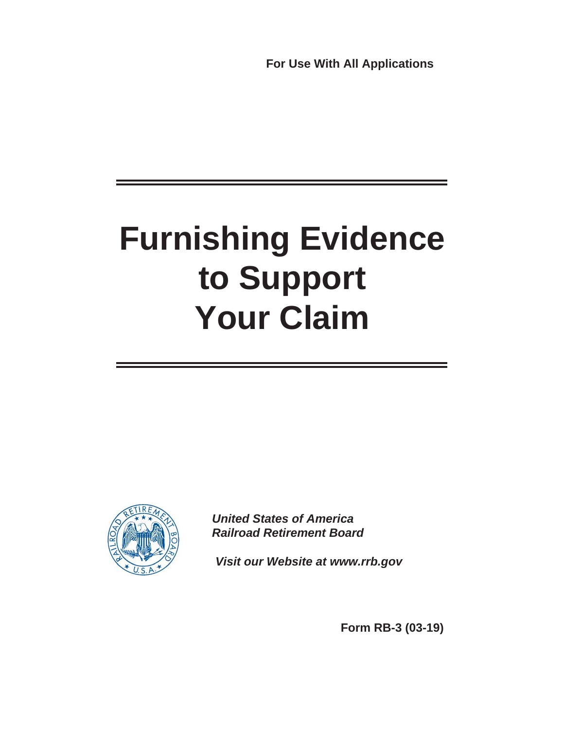**For Use With All Applications**

# **Furnishing Evidence to Support Your Claim**



*United States of America Railroad Retirement Board*

*Visit our Website at www.rrb.gov*

**Form RB-3 (03-19)**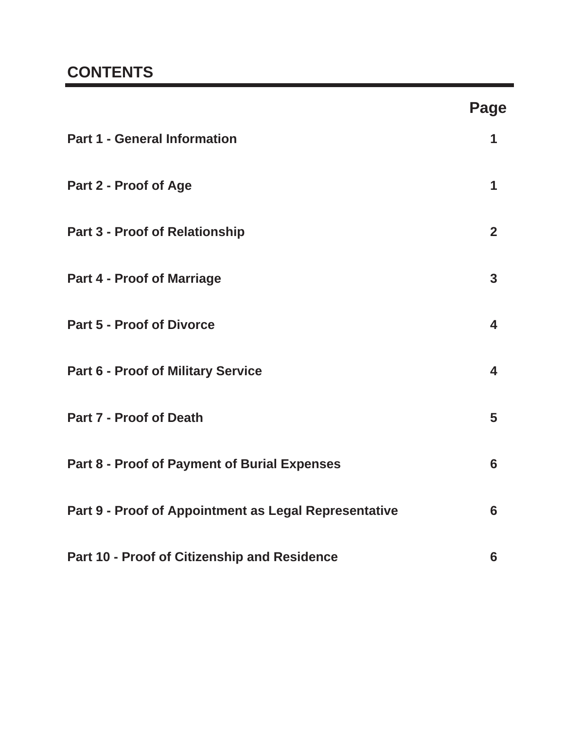# **CONTENTS**

|                                                       | <b>Page</b>             |
|-------------------------------------------------------|-------------------------|
| <b>Part 1 - General Information</b>                   | 1                       |
| Part 2 - Proof of Age                                 | 1                       |
| <b>Part 3 - Proof of Relationship</b>                 | 2 <sup>2</sup>          |
| <b>Part 4 - Proof of Marriage</b>                     | $\overline{3}$          |
| <b>Part 5 - Proof of Divorce</b>                      | $\overline{\mathbf{4}}$ |
| <b>Part 6 - Proof of Military Service</b>             | $\overline{\mathbf{4}}$ |
| <b>Part 7 - Proof of Death</b>                        | 5                       |
| <b>Part 8 - Proof of Payment of Burial Expenses</b>   | 6                       |
| Part 9 - Proof of Appointment as Legal Representative | 6                       |
| Part 10 - Proof of Citizenship and Residence          | $6\phantom{1}6$         |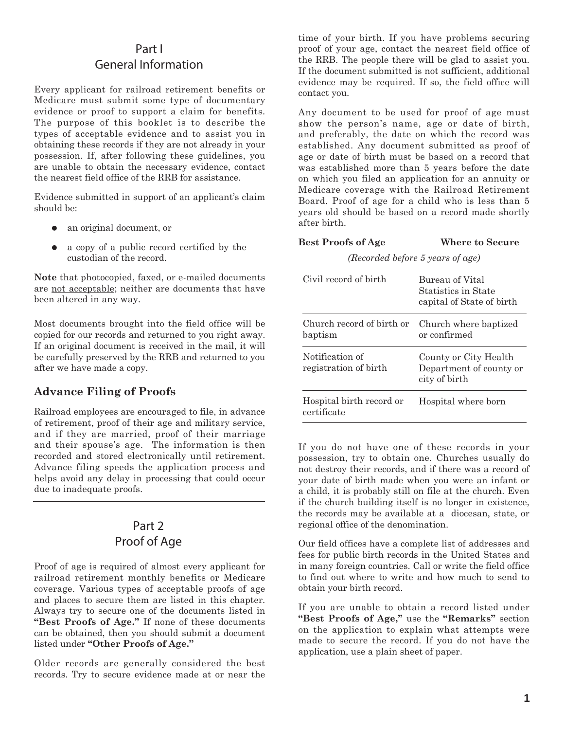## Part I General Information

Every applicant for railroad retirement benefits or Medicare must submit some type of documentary evidence or proof to support a claim for benefits. The purpose of this booklet is to describe the types of acceptable evidence and to assist you in obtaining these records if they are not already in your possession. If, after following these guidelines, you are unable to obtain the necessary evidence, contact the nearest field office of the RRB for assistance.

Evidence submitted in support of an applicant's claim should be:

- an original document, or  $\bullet$
- a copy of a public record certified by the custodian of the record.  $\bullet$

**Note** that photocopied, faxed, or e-mailed documents are not acceptable; neither are documents that have been altered in any way.

Most documents brought into the field office will be copied for our records and returned to you right away. If an original document is received in the mail, it will be carefully preserved by the RRB and returned to you after we have made a copy.

## **Advance Filing of Proofs**

Railroad employees are encouraged to file, in advance of retirement, proof of their age and military service, and if they are married, proof of their marriage and their spouse's age. The information is then recorded and stored electronically until retirement. Advance filing speeds the application process and helps avoid any delay in processing that could occur due to inadequate proofs.

## Part 2 Proof of Age

Proof of age is required of almost every applicant for railroad retirement monthly benefits or Medicare coverage. Various types of acceptable proofs of age and places to secure them are listed in this chapter. Always try to secure one of the documents listed in **"Best Proofs of Age."** If none of these documents can be obtained, then you should submit a document listed under **"Other Proofs of Age."**

Older records are generally considered the best records. Try to secure evidence made at or near the

time of your birth. If you have problems securing proof of your age, contact the nearest field office of the RRB. The people there will be glad to assist you. If the document submitted is not sufficient, additional evidence may be required. If so, the field office will contact you.

Any document to be used for proof of age must show the person's name, age or date of birth, and preferably, the date on which the record was established. Any document submitted as proof of age or date of birth must be based on a record that was established more than 5 years before the date on which you filed an application for an annuity or Medicare coverage with the Railroad Retirement Board. Proof of age for a child who is less than 5 years old should be based on a record made shortly after birth.

#### **Best Proofs of Age Where to Secure**

*(Recorded before 5 years of age)*

| Civil record of birth                    | Bureau of Vital<br>Statistics in State<br>capital of State of birth |
|------------------------------------------|---------------------------------------------------------------------|
| Church record of birth or<br>baptism     | Church where baptized<br>or confirmed                               |
| Notification of<br>registration of birth | County or City Health<br>Department of county or<br>city of birth   |
| Hospital birth record or<br>certificate  | Hospital where born                                                 |

If you do not have one of these records in your possession, try to obtain one. Churches usually do not destroy their records, and if there was a record of your date of birth made when you were an infant or a child, it is probably still on file at the church. Even if the church building itself is no longer in existence, the records may be available at a diocesan, state, or regional office of the denomination.

Our field offices have a complete list of addresses and fees for public birth records in the United States and in many foreign countries. Call or write the field office to find out where to write and how much to send to obtain your birth record.

If you are unable to obtain a record listed under **"Best Proofs of Age,"** use the **"Remarks"** section on the application to explain what attempts were made to secure the record. If you do not have the application, use a plain sheet of paper.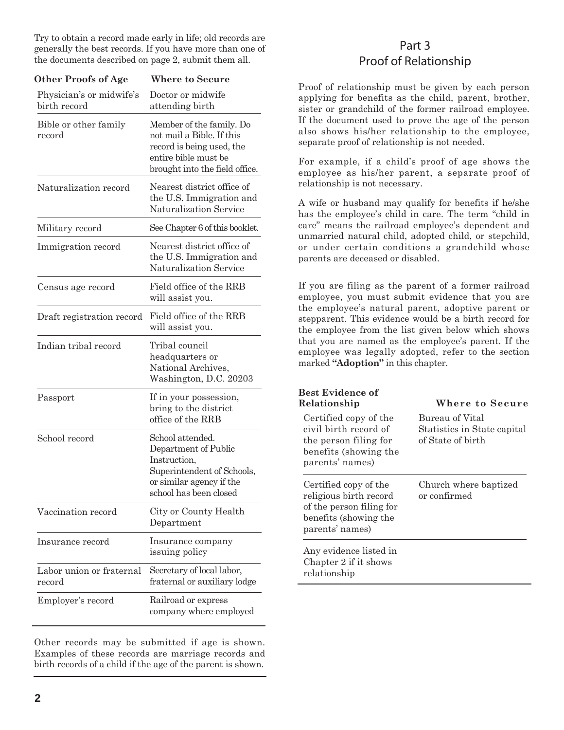Try to obtain a record made early in life; old records are generally the best records. If you have more than one of the documents described on page 2, submit them all.

| <b>Other Proofs of Age</b>               | <b>Where to Secure</b>                                                                                                                       |
|------------------------------------------|----------------------------------------------------------------------------------------------------------------------------------------------|
| Physician's or midwife's<br>birth record | Doctor or midwife<br>attending birth                                                                                                         |
| Bible or other family<br>record          | Member of the family. Do<br>not mail a Bible. If this<br>record is being used, the<br>entire bible must be<br>brought into the field office. |
| Naturalization record                    | Nearest district office of<br>the U.S. Immigration and<br>Naturalization Service                                                             |
| Military record                          | See Chapter 6 of this booklet.                                                                                                               |
| Immigration record                       | Nearest district office of<br>the U.S. Immigration and<br>Naturalization Service                                                             |
| Census age record                        | Field office of the RRB<br>will assist you.                                                                                                  |
| Draft registration record                | Field office of the RRB<br>will assist you.                                                                                                  |
| Indian tribal record                     | Tribal council<br>headquarters or<br>National Archives,<br>Washington, D.C. 20203                                                            |
| Passport                                 | If in your possession,<br>bring to the district<br>office of the RRB                                                                         |
| School record                            | School attended.<br>Department of Public<br>Instruction,<br>Superintendent of Schools,<br>or similar agency if the<br>school has been closed |
| Vaccination record                       | City or County Health<br>Department                                                                                                          |
| Insurance record                         | Insurance company<br>issuing policy                                                                                                          |
| Labor union or fraternal<br>record       | Secretary of local labor,<br>fraternal or auxiliary lodge                                                                                    |
| Employer's record                        | Railroad or express<br>company where employed                                                                                                |

Other records may be submitted if age is shown. Examples of these records are marriage records and birth records of a child if the age of the parent is shown.

## Part 3 Proof of Relationship

Proof of relationship must be given by each person applying for benefits as the child, parent, brother, sister or grandchild of the former railroad employee. If the document used to prove the age of the person also shows his/her relationship to the employee, separate proof of relationship is not needed.

For example, if a child's proof of age shows the employee as his/her parent, a separate proof of relationship is not necessary.

A wife or husband may qualify for benefits if he/she has the employee's child in care. The term "child in care" means the railroad employee's dependent and unmarried natural child, adopted child, or stepchild, or under certain conditions a grandchild whose parents are deceased or disabled.

If you are filing as the parent of a former railroad employee, you must submit evidence that you are the employee's natural parent, adoptive parent or stepparent. This evidence would be a birth record for the employee from the list given below which shows that you are named as the employee's parent. If the employee was legally adopted, refer to the section marked **"Adoption"** in this chapter.

| <b>Best Evidence of</b><br>Relationship<br>Certified copy of the<br>civil birth record of<br>the person filing for<br>benefits (showing the<br>parents' names) | Where to Secure<br>Bureau of Vital<br>Statistics in State capital<br>of State of birth |
|----------------------------------------------------------------------------------------------------------------------------------------------------------------|----------------------------------------------------------------------------------------|
| Certified copy of the<br>religious birth record<br>of the person filing for<br>benefits (showing the<br>parents' names)                                        | Church where baptized<br>or confirmed                                                  |
| Any evidence listed in<br>Chapter 2 if it shows<br>relationship                                                                                                |                                                                                        |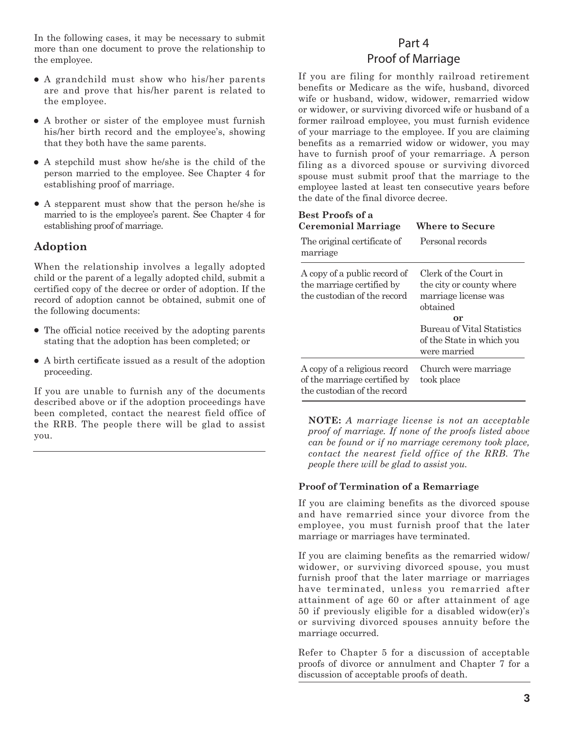In the following cases, it may be necessary to submit more than one document to prove the relationship to the employee.

- A grandchild must show who his/her parents are and prove that his/her parent is related to the employee.
- A brother or sister of the employee must furnish his/her birth record and the employee's, showing that they both have the same parents.
- A stepchild must show he/she is the child of the person married to the employee. See Chapter 4 for establishing proof of marriage.
- A stepparent must show that the person he/she is married to is the employee's parent. See Chapter 4 for establishing proof of marriage.

#### **Adoption**

When the relationship involves a legally adopted child or the parent of a legally adopted child, submit a certified copy of the decree or order of adoption. If the record of adoption cannot be obtained, submit one of the following documents:

- The official notice received by the adopting parents stating that the adoption has been completed; or
- A birth certificate issued as a result of the adoption proceeding.

If you are unable to furnish any of the documents described above or if the adoption proceedings have been completed, contact the nearest field office of the RRB. The people there will be glad to assist you.

# Part 4 Proof of Marriage

If you are filing for monthly railroad retirement benefits or Medicare as the wife, husband, divorced wife or husband, widow, widower, remarried widow or widower, or surviving divorced wife or husband of a former railroad employee, you must furnish evidence of your marriage to the employee. If you are claiming benefits as a remarried widow or widower, you may have to furnish proof of your remarriage. A person filing as a divorced spouse or surviving divorced spouse must submit proof that the marriage to the employee lasted at least ten consecutive years before the date of the final divorce decree.

| Best Proofs of a<br><b>Ceremonial Marriage</b>                                              | Where to Secure                                                                                                                                                               |
|---------------------------------------------------------------------------------------------|-------------------------------------------------------------------------------------------------------------------------------------------------------------------------------|
| The original certificate of<br>marriage                                                     | Personal records                                                                                                                                                              |
| A copy of a public record of<br>the marriage certified by<br>the custodian of the record    | Clerk of the Court in<br>the city or county where<br>marriage license was<br>obtained<br>or<br><b>Bureau of Vital Statistics</b><br>of the State in which you<br>were married |
| A copy of a religious record<br>of the marriage certified by<br>the custodian of the record | Church were marriage<br>took place                                                                                                                                            |

**NOTE:** *A marriage license is not an acceptable proof of marriage. If none of the proofs listed above can be found or if no marriage ceremony took place, contact the nearest field office of the RRB. The people there will be glad to assist you.*

#### **Proof of Termination of a Remarriage**

If you are claiming benefits as the divorced spouse and have remarried since your divorce from the employee, you must furnish proof that the later marriage or marriages have terminated.

If you are claiming benefits as the remarried widow/ widower, or surviving divorced spouse, you must furnish proof that the later marriage or marriages have terminated, unless you remarried after attainment of age 60 or after attainment of age 50 if previously eligible for a disabled widow(er)'s or surviving divorced spouses annuity before the marriage occurred.

Refer to Chapter 5 for a discussion of acceptable proofs of divorce or annulment and Chapter 7 for a discussion of acceptable proofs of death.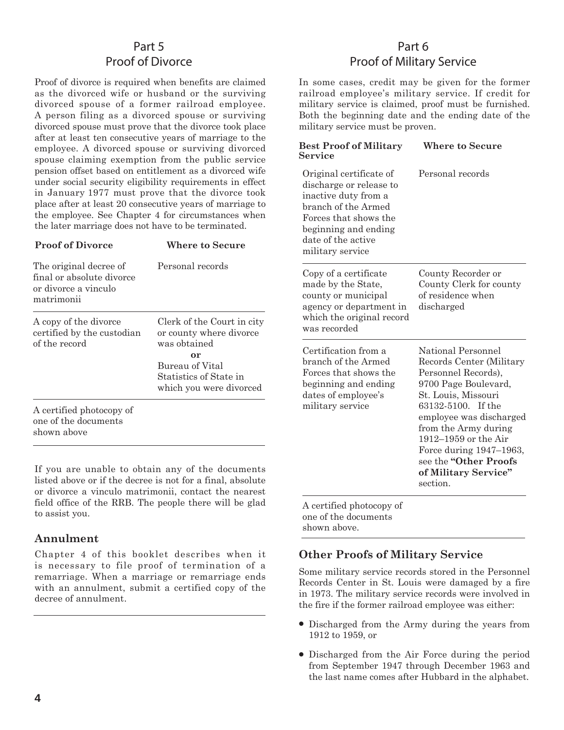# Part 5 Proof of Divorce

Proof of divorce is required when benefits are claimed as the divorced wife or husband or the surviving divorced spouse of a former railroad employee. A person filing as a divorced spouse or surviving divorced spouse must prove that the divorce took place after at least ten consecutive years of marriage to the employee. A divorced spouse or surviving divorced spouse claiming exemption from the public service pension offset based on entitlement as a divorced wife under social security eligibility requirements in effect in January 1977 must prove that the divorce took place after at least 20 consecutive years of marriage to the employee. See Chapter 4 for circumstances when the later marriage does not have to be terminated.

| <b>Proof of Divorce</b>                                                                   | Where to Secure                                                       |
|-------------------------------------------------------------------------------------------|-----------------------------------------------------------------------|
| The original decree of<br>final or absolute divorce<br>or divorce a vinculo<br>matrimonii | Personal records                                                      |
| A copy of the divorce<br>certified by the custodian<br>of the record                      | Clerk of the Court in city<br>or county where divorce<br>was obtained |
|                                                                                           | or<br>Bureau of Vital                                                 |
|                                                                                           | Statistics of State in                                                |
|                                                                                           | which you were divorced                                               |
| A certified photocopy of<br>one of the documents<br>shown above                           |                                                                       |

If you are unable to obtain any of the documents listed above or if the decree is not for a final, absolute or divorce a vinculo matrimonii, contact the nearest field office of the RRB. The people there will be glad to assist you.

## **Annulment**

Chapter 4 of this booklet describes when it is necessary to file proof of termination of a remarriage. When a marriage or remarriage ends with an annulment, submit a certified copy of the decree of annulment.

# Part 6 Proof of Military Service

In some cases, credit may be given for the former railroad employee's military service. If credit for military service is claimed, proof must be furnished. Both the beginning date and the ending date of the military service must be proven.

| <b>Best Proof of Military</b><br>Service                                                                                                                                                     | Where to Secure                                                                                                                                                                                                                                                                                                      |
|----------------------------------------------------------------------------------------------------------------------------------------------------------------------------------------------|----------------------------------------------------------------------------------------------------------------------------------------------------------------------------------------------------------------------------------------------------------------------------------------------------------------------|
| Original certificate of<br>discharge or release to<br>inactive duty from a<br>branch of the Armed<br>Forces that shows the<br>beginning and ending<br>date of the active<br>military service | Personal records                                                                                                                                                                                                                                                                                                     |
| Copy of a certificate<br>made by the State,<br>county or municipal<br>agency or department in<br>which the original record<br>was recorded                                                   | County Recorder or<br>County Clerk for county<br>of residence when<br>discharged                                                                                                                                                                                                                                     |
| Certification from a<br>branch of the Armed<br>Forces that shows the<br>beginning and ending<br>dates of employee's<br>military service                                                      | National Personnel<br>Records Center (Military<br>Personnel Records),<br>9700 Page Boulevard,<br>St. Louis, Missouri<br>63132-5100. If the<br>employee was discharged<br>from the Army during<br>1912-1959 or the Air<br>Force during 1947-1963,<br>see the <b>"Other Proofs</b><br>of Military Service"<br>section. |

A certified photocopy of one of the documents shown above.

## **Other Proofs of Military Service**

Some military service records stored in the Personnel Records Center in St. Louis were damaged by a fire in 1973. The military service records were involved in the fire if the former railroad employee was either:

- Discharged from the Army during the years from 1912 to 1959, or
- Discharged from the Air Force during the period from September 1947 through December 1963 and the last name comes after Hubbard in the alphabet.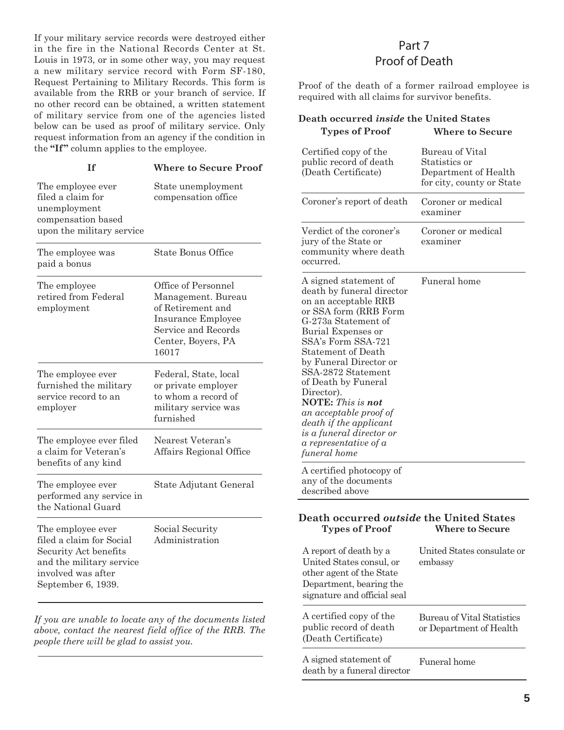If your military service records were destroyed either in the fire in the National Records Center at St. Louis in 1973, or in some other way, you may request a new military service record with Form SF-180, Request Pertaining to Military Records. This form is available from the RRB or your branch of service. If no other record can be obtained, a written statement of military service from one of the agencies listed below can be used as proof of military service. Only request information from an agency if the condition in the **"If "** column applies to the employee.

| Τf                                                                                                                                             | <b>Where to Secure Proof</b>                                                                                                               |
|------------------------------------------------------------------------------------------------------------------------------------------------|--------------------------------------------------------------------------------------------------------------------------------------------|
| The employee ever<br>filed a claim for<br>unemployment<br>compensation based<br>upon the military service                                      | State unemployment<br>compensation office                                                                                                  |
| The employee was<br>paid a bonus                                                                                                               | <b>State Bonus Office</b>                                                                                                                  |
| The employee<br>retired from Federal<br>employment                                                                                             | Office of Personnel<br>Management. Bureau<br>of Retirement and<br>Insurance Employee<br>Service and Records<br>Center, Boyers, PA<br>16017 |
| The employee ever<br>furnished the military<br>service record to an<br>employer                                                                | Federal, State, local<br>or private employer<br>to whom a record of<br>military service was<br>furnished                                   |
| The employee ever filed<br>a claim for Veteran's<br>benefits of any kind                                                                       | Nearest Veteran's<br>Affairs Regional Office                                                                                               |
| The employee ever<br>performed any service in<br>the National Guard                                                                            | State Adjutant General                                                                                                                     |
| The employee ever<br>filed a claim for Social<br>Security Act benefits<br>and the military service<br>involved was after<br>September 6, 1939. | Social Security<br>Administration                                                                                                          |

*If you are unable to locate any of the documents listed above, contact the nearest field office of the RRB. The people there will be glad to assist you.*

## Part 7 Proof of Death

Proof of the death of a former railroad employee is required with all claims for survivor benefits.

| Death occurred inside the United States<br><b>Types of Proof</b>                                                                                                                                                                                                                                                                                                                                                                           | <b>Where to Secure</b>                                                                |
|--------------------------------------------------------------------------------------------------------------------------------------------------------------------------------------------------------------------------------------------------------------------------------------------------------------------------------------------------------------------------------------------------------------------------------------------|---------------------------------------------------------------------------------------|
| Certified copy of the<br>public record of death<br>(Death Certificate)                                                                                                                                                                                                                                                                                                                                                                     | Bureau of Vital<br>Statistics or<br>Department of Health<br>for city, county or State |
| Coroner's report of death                                                                                                                                                                                                                                                                                                                                                                                                                  | Coroner or medical<br>examiner                                                        |
| Verdict of the coroner's<br>jury of the State or<br>community where death<br>occurred.                                                                                                                                                                                                                                                                                                                                                     | Coroner or medical<br>examiner                                                        |
| A signed statement of<br>death by funeral director<br>on an acceptable RRB<br>or SSA form (RRB Form<br>G-273a Statement of<br>Burial Expenses or<br>SSA's Form SSA-721<br>Statement of Death<br>by Funeral Director or<br>SSA-2872 Statement<br>of Death by Funeral<br>Director).<br><b>NOTE:</b> This is not<br>an acceptable proof of<br>death if the applicant<br>is a funeral director or<br>$a$ representative of $a$<br>funeral home | Funeral home                                                                          |
| A certified photocopy of<br>any of the documents<br>described above                                                                                                                                                                                                                                                                                                                                                                        |                                                                                       |
| Death occurred <i>outside</i> the United States<br><b>Types of Proof</b>                                                                                                                                                                                                                                                                                                                                                                   | <b>Where to Secure</b>                                                                |
| A report of death by a<br>United States consul, or<br>other agent of the State<br>Department, bearing the                                                                                                                                                                                                                                                                                                                                  | United States consulate or<br>embassy                                                 |

signature and official seal

A certified copy of the public record of death (Death Certificate)

A signed statement of death by a funeral director Bureau of Vital Statistics or Department of Health

Funeral home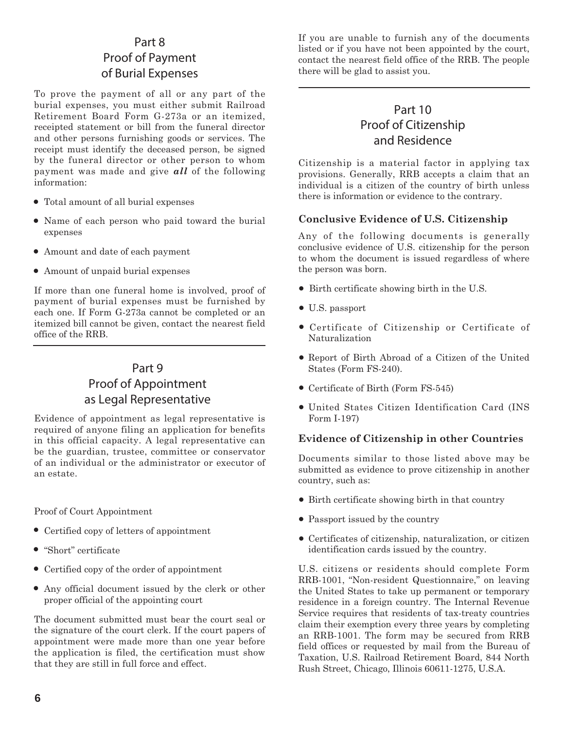# Part 8 Proof of Payment of Burial Expenses

To prove the payment of all or any part of the burial expenses, you must either submit Railroad Retirement Board Form G-273a or an itemized, receipted statement or bill from the funeral director and other persons furnishing goods or services. The receipt must identify the deceased person, be signed by the funeral director or other person to whom payment was made and give *all* of the following information:

- Total amount of all burial expenses
- Name of each person who paid toward the burial expenses
- Amount and date of each payment
- Amount of unpaid burial expenses

If more than one funeral home is involved, proof of payment of burial expenses must be furnished by each one. If Form G-273a cannot be completed or an itemized bill cannot be given, contact the nearest field office of the RRB.

# Part 9 Proof of Appointment as Legal Representative

Evidence of appointment as legal representative is required of anyone filing an application for benefits in this official capacity. A legal representative can be the guardian, trustee, committee or conservator of an individual or the administrator or executor of an estate.

Proof of Court Appointment

- Certified copy of letters of appointment
- "Short" certificate
- Certified copy of the order of appointment
- Any official document issued by the clerk or other proper official of the appointing court

The document submitted must bear the court seal or the signature of the court clerk. If the court papers of appointment were made more than one year before the application is filed, the certification must show that they are still in full force and effect.

If you are unable to furnish any of the documents listed or if you have not been appointed by the court, contact the nearest field office of the RRB. The people there will be glad to assist you.

# Part 10 Proof of Citizenship and Residence

Citizenship is a material factor in applying tax provisions. Generally, RRB accepts a claim that an individual is a citizen of the country of birth unless there is information or evidence to the contrary.

#### **Conclusive Evidence of U.S. Citizenship**

Any of the following documents is generally conclusive evidence of U.S. citizenship for the person to whom the document is issued regardless of where the person was born.

- Birth certificate showing birth in the U.S.
- U.S. passport
- Certificate of Citizenship or Certificate of Naturalization
- Report of Birth Abroad of a Citizen of the United States (Form FS-240).
- Certificate of Birth (Form FS-545)
- United States Citizen Identification Card (INS Form I-197)

#### **Evidence of Citizenship in other Countries**

Documents similar to those listed above may be submitted as evidence to prove citizenship in another country, such as:

- Birth certificate showing birth in that country
- Passport issued by the country
- Certificates of citizenship, naturalization, or citizen identification cards issued by the country.

U.S. citizens or residents should complete Form RRB-1001, "Non-resident Questionnaire," on leaving the United States to take up permanent or temporary residence in a foreign country. The Internal Revenue Service requires that residents of tax-treaty countries claim their exemption every three years by completing an RRB-1001. The form may be secured from RRB field offices or requested by mail from the Bureau of Taxation, U.S. Railroad Retirement Board, 844 North Rush Street, Chicago, Illinois 60611-1275, U.S.A.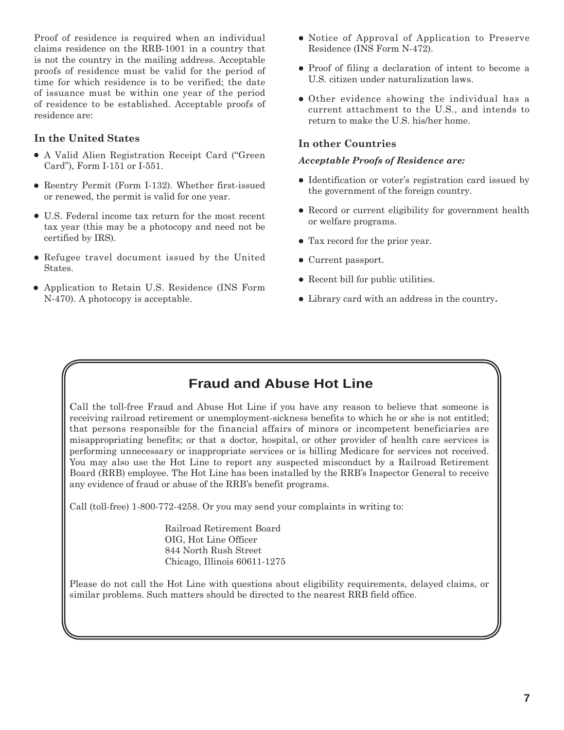Proof of residence is required when an individual claims residence on the RRB-1001 in a country that is not the country in the mailing address. Acceptable proofs of residence must be valid for the period of time for which residence is to be verified; the date of issuance must be within one year of the period of residence to be established. Acceptable proofs of residence are:

#### **In the United States**

- A Valid Alien Registration Receipt Card ("Green Card"), Form I-151 or I-551.
- Reentry Permit (Form I-132). Whether first-issued or renewed, the permit is valid for one year.
- U.S. Federal income tax return for the most recent tax year (this may be a photocopy and need not be certified by IRS).
- Refugee travel document issued by the United States.
- Application to Retain U.S. Residence (INS Form N-470). A photocopy is acceptable.
- Notice of Approval of Application to Preserve Residence (INS Form N-472).
- Proof of filing a declaration of intent to become a U.S. citizen under naturalization laws.
- Other evidence showing the individual has a current attachment to the U.S., and intends to return to make the U.S. his/her home.

#### **In other Countries**

#### *Acceptable Proofs of Residence are:*

- Identification or voter's registration card issued by the government of the foreign country.
- Record or current eligibility for government health or welfare programs.
- Tax record for the prior year.
- Current passport.
- Recent bill for public utilities.
- Library card with an address in the country**.**

## **Fraud and Abuse Hot Line**

Call the toll-free Fraud and Abuse Hot Line if you have any reason to believe that someone is receiving railroad retirement or unemployment-sickness benefits to which he or she is not entitled; that persons responsible for the financial affairs of minors or incompetent beneficiaries are misappropriating benefits; or that a doctor, hospital, or other provider of health care services is performing unnecessary or inappropriate services or is billing Medicare for services not received. You may also use the Hot Line to report any suspected misconduct by a Railroad Retirement Board (RRB) employee. The Hot Line has been installed by the RRB's Inspector General to receive any evidence of fraud or abuse of the RRB's benefit programs.

Call (toll-free) 1-800-772-4258. Or you may send your complaints in writing to:

 Railroad Retirement Board OIG, Hot Line Officer 844 North Rush Street Chicago, Illinois 60611-1275

Please do not call the Hot Line with questions about eligibility requirements, delayed claims, or similar problems. Such matters should be directed to the nearest RRB field office.